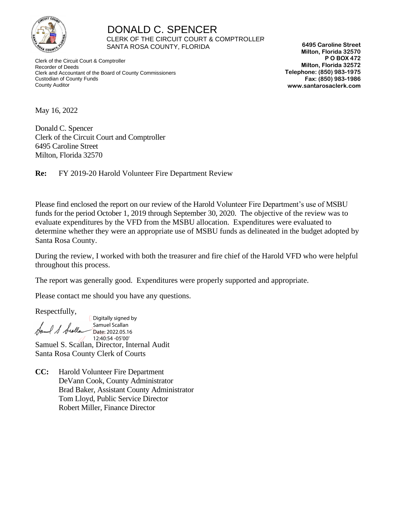

 DONALD C. SPENCER CLERK OF THE CIRCUIT COURT & COMPTROLLER SANTA ROSA COUNTY, FLORIDA

 Clerk of the Circuit Court & Comptroller Recorder of Deeds Clerk and Accountant of the Board of County Commissioners Custodian of County Funds County Auditor

**6495 Caroline Street Milton, Florida 32570 P O BOX 472 Milton, Florida 32572 Telephone: (850) 983-1975 Fax: (850) 983-1986 www.santarosaclerk.com**

May 16, 2022

Donald C. Spencer Clerk of the Circuit Court and Comptroller 6495 Caroline Street Milton, Florida 32570

**Re:** FY 2019-20 Harold Volunteer Fire Department Review

Please find enclosed the report on our review of the Harold Volunteer Fire Department's use of MSBU funds for the period October 1, 2019 through September 30, 2020. The objective of the review was to evaluate expenditures by the VFD from the MSBU allocation. Expenditures were evaluated to determine whether they were an appropriate use of MSBU funds as delineated in the budget adopted by Santa Rosa County.

During the review, I worked with both the treasurer and fire chief of the Harold VFD who were helpful throughout this process.

The report was generally good. Expenditures were properly supported and appropriate.

Please contact me should you have any questions.

Respectfully,

Digitally signed by Samuel Scallan I S Scolla Date: 2022.05.16 12:40:54 -05'00'Samuel S. Scallan, Director, Internal Audit Santa Rosa County Clerk of Courts

**CC:** Harold Volunteer Fire Department DeVann Cook, County Administrator Brad Baker, Assistant County Administrator Tom Lloyd, Public Service Director Robert Miller, Finance Director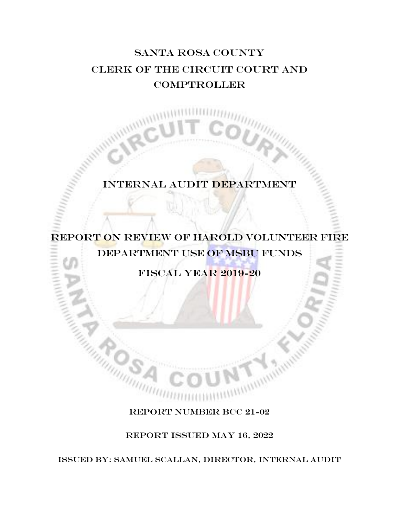# Santa Rosa COUNTY CLERK OF THE circuit COURT AND **COMPTROLLER**

## Internal audit DEPARTMENT

# REPORT ON REVIEW OF harold volunteer fire department use of msbu funds

Fiscal year 2019-20

## REPORT NUMBER BCC 21-02

REPORT ISSUED MaY 16, 2022

ISSUED BY: SAMUEL SCALLAN, director, Internal audit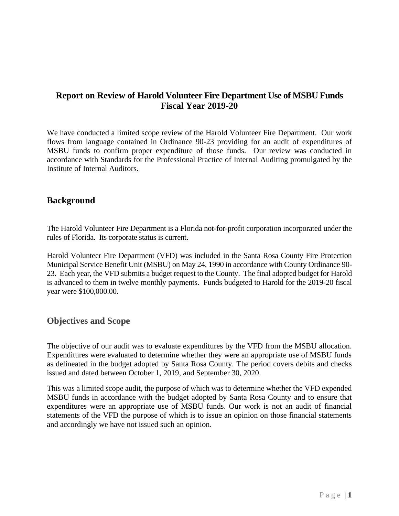## **Report on Review of Harold Volunteer Fire Department Use of MSBU Funds Fiscal Year 2019-20**

We have conducted a limited scope review of the Harold Volunteer Fire Department. Our work flows from language contained in Ordinance 90-23 providing for an audit of expenditures of MSBU funds to confirm proper expenditure of those funds. Our review was conducted in accordance with Standards for the Professional Practice of Internal Auditing promulgated by the Institute of Internal Auditors.

### **Background**

The Harold Volunteer Fire Department is a Florida not-for-profit corporation incorporated under the rules of Florida. Its corporate status is current.

Harold Volunteer Fire Department (VFD) was included in the Santa Rosa County Fire Protection Municipal Service Benefit Unit (MSBU) on May 24, 1990 in accordance with County Ordinance 90- 23. Each year, the VFD submits a budget request to the County. The final adopted budget for Harold is advanced to them in twelve monthly payments. Funds budgeted to Harold for the 2019-20 fiscal year were \$100,000.00.

### **Objectives and Scope**

The objective of our audit was to evaluate expenditures by the VFD from the MSBU allocation. Expenditures were evaluated to determine whether they were an appropriate use of MSBU funds as delineated in the budget adopted by Santa Rosa County. The period covers debits and checks issued and dated between October 1, 2019, and September 30, 2020.

This was a limited scope audit, the purpose of which was to determine whether the VFD expended MSBU funds in accordance with the budget adopted by Santa Rosa County and to ensure that expenditures were an appropriate use of MSBU funds. Our work is not an audit of financial statements of the VFD the purpose of which is to issue an opinion on those financial statements and accordingly we have not issued such an opinion.